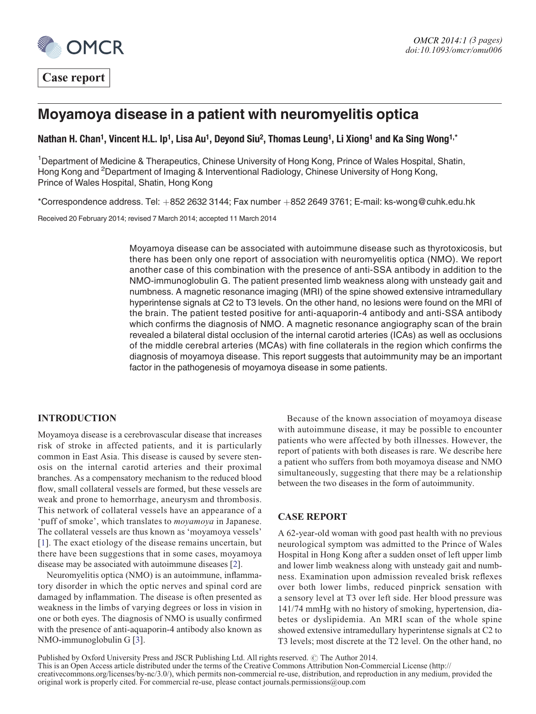

Case report

## Moyamoya disease in a patient with neuromyelitis optica

Nathan H. Chan<sup>1</sup>, Vincent H.L. Ip<sup>1</sup>, Lisa Au<sup>1</sup>, Deyond Siu<sup>2</sup>, Thomas Leung<sup>1</sup>, Li Xiong<sup>1</sup> and Ka Sing Wong<sup>1,\*</sup>

<sup>1</sup>Department of Medicine & Therapeutics, Chinese University of Hong Kong, Prince of Wales Hospital, Shatin, Hong Kong and <sup>2</sup>Department of Imaging & Interventional Radiology, Chinese University of Hong Kong, Prince of Wales Hospital, Shatin, Hong Kong

 $*$ Correspondence address. Tel:  $+852$  2632 3144; Fax number  $+852$  2649 3761; E-mail: ks-wong@cuhk.edu.hk

Received 20 February 2014; revised 7 March 2014; accepted 11 March 2014

Moyamoya disease can be associated with autoimmune disease such as thyrotoxicosis, but there has been only one report of association with neuromyelitis optica (NMO). We report another case of this combination with the presence of anti-SSA antibody in addition to the NMO-immunoglobulin G. The patient presented limb weakness along with unsteady gait and numbness. A magnetic resonance imaging (MRI) of the spine showed extensive intramedullary hyperintense signals at C2 to T3 levels. On the other hand, no lesions were found on the MRI of the brain. The patient tested positive for anti-aquaporin-4 antibody and anti-SSA antibody which confirms the diagnosis of NMO. A magnetic resonance angiography scan of the brain revealed a bilateral distal occlusion of the internal carotid arteries (ICAs) as well as occlusions of the middle cerebral arteries (MCAs) with fine collaterals in the region which confirms the diagnosis of moyamoya disease. This report suggests that autoimmunity may be an important factor in the pathogenesis of moyamoya disease in some patients.

## INTRODUCTION

Moyamoya disease is a cerebrovascular disease that increases risk of stroke in affected patients, and it is particularly common in East Asia. This disease is caused by severe stenosis on the internal carotid arteries and their proximal branches. As a compensatory mechanism to the reduced blood flow, small collateral vessels are formed, but these vessels are weak and prone to hemorrhage, aneurysm and thrombosis. This network of collateral vessels have an appearance of a 'puff of smoke', which translates to moyamoya in Japanese. The collateral vessels are thus known as 'moyamoya vessels' [[1\]](#page-2-0). The exact etiology of the disease remains uncertain, but there have been suggestions that in some cases, moyamoya disease may be associated with autoimmune diseases [\[2](#page-2-0)].

Neuromyelitis optica (NMO) is an autoimmune, inflammatory disorder in which the optic nerves and spinal cord are damaged by inflammation. The disease is often presented as weakness in the limbs of varying degrees or loss in vision in one or both eyes. The diagnosis of NMO is usually confirmed with the presence of anti-aquaporin-4 antibody also known as NMO-immunoglobulin G [[3\]](#page-2-0).

Because of the known association of moyamoya disease with autoimmune disease, it may be possible to encounter patients who were affected by both illnesses. However, the report of patients with both diseases is rare. We describe here a patient who suffers from both moyamoya disease and NMO simultaneously, suggesting that there may be a relationship between the two diseases in the form of autoimmunity.

## CASE REPORT

A 62-year-old woman with good past health with no previous neurological symptom was admitted to the Prince of Wales Hospital in Hong Kong after a sudden onset of left upper limb and lower limb weakness along with unsteady gait and numbness. Examination upon admission revealed brisk reflexes over both lower limbs, reduced pinprick sensation with a sensory level at T3 over left side. Her blood pressure was 141/74 mmHg with no history of smoking, hypertension, diabetes or dyslipidemia. An MRI scan of the whole spine showed extensive intramedullary hyperintense signals at C2 to T3 levels; most discrete at the T2 level. On the other hand, no

Published by Oxford University Press and JSCR Publishing Ltd. All rights reserved. © The Author 2014. This is an Open Access article distributed under the terms of the Creative Commons Attribution Non-Commercial License (http:// creativecommons.org/licenses/by-nc/3.0/), which permits non-commercial re-use, distribution, and reproduction in any medium, provided the original work is properly cited. For commercial re-use, please contact journals.permissions@oup.com